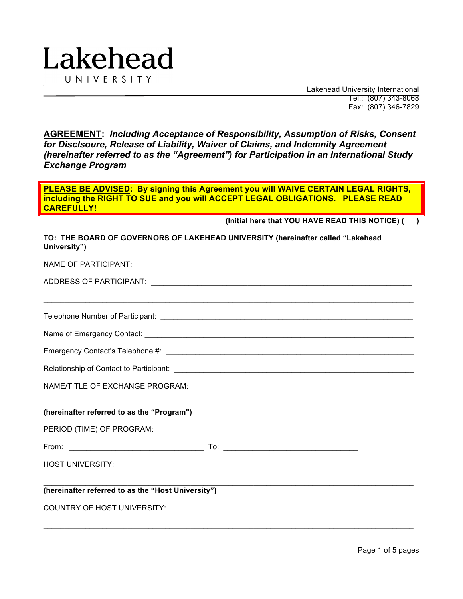

 Lakehead University International Tel.: (807) 343-8068 Fax: (807) 346-7829

**AGREEMENT:** *Including Acceptance of Responsibility, Assumption of Risks, Consent for Disclsoure, Release of Liability, Waiver of Claims, and Indemnity Agreement (hereinafter referred to as the "Agreement") for Participation in an International Study Exchange Program*

**PLEASE BE ADVISED: By signing this Agreement you will WAIVE CERTAIN LEGAL RIGHTS, including the RIGHT TO SUE and you will ACCEPT LEGAL OBLIGATIONS. PLEASE READ CAREFULLY!**

**TO: THE BOARD OF GOVERNORS OF LAKEHEAD UNIVERSITY (hereinafter called "Lakehead** 

**(Initial here that YOU HAVE READ THIS NOTICE) ( )**

| TO: THE BUARD OF GOVERNORS OF LANEHEAD UNIVERSITY (Nefelhatter called "Lakenead<br>University") |
|-------------------------------------------------------------------------------------------------|
|                                                                                                 |
|                                                                                                 |
| ,我们也不能在这里的时候,我们也不能在这里的时候,我们也不能会在这里,我们也不能会不能会不能会不能会不能会不能会不能会。""我们的是,我们也不能会不能会不能会不                |
|                                                                                                 |
|                                                                                                 |
|                                                                                                 |
| NAME/TITLE OF EXCHANGE PROGRAM:                                                                 |
| (hereinafter referred to as the "Program")                                                      |
| PERIOD (TIME) OF PROGRAM:                                                                       |
|                                                                                                 |
| <b>HOST UNIVERSITY:</b>                                                                         |
| (hereinafter referred to as the "Host University")                                              |
| <b>COUNTRY OF HOST UNIVERSITY:</b>                                                              |

 $\_$  , and the state of the state of the state of the state of the state of the state of the state of the state of the state of the state of the state of the state of the state of the state of the state of the state of the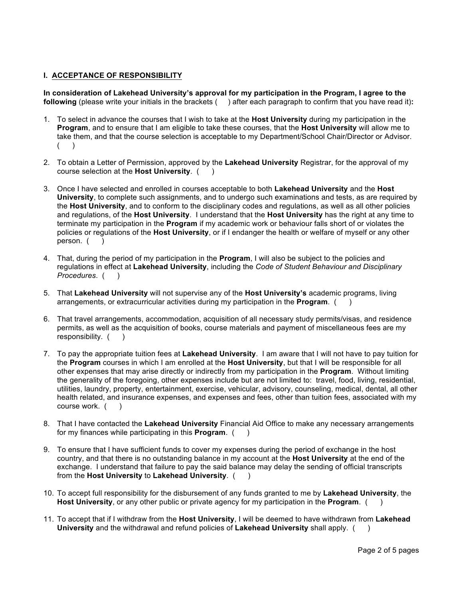## **I. ACCEPTANCE OF RESPONSIBILITY**

**In consideration of Lakehead University's approval for my participation in the Program, I agree to the following** (please write your initials in the brackets ( ) after each paragraph to confirm that you have read it)**:**

- 1. To select in advance the courses that I wish to take at the **Host University** during my participation in the **Program**, and to ensure that I am eligible to take these courses, that the **Host University** will allow me to take them, and that the course selection is acceptable to my Department/School Chair/Director or Advisor.  $($
- 2. To obtain a Letter of Permission, approved by the **Lakehead University** Registrar, for the approval of my course selection at the **Host University**. ( )
- 3. Once I have selected and enrolled in courses acceptable to both **Lakehead University** and the **Host University**, to complete such assignments, and to undergo such examinations and tests, as are required by the **Host University**, and to conform to the disciplinary codes and regulations, as well as all other policies and regulations, of the **Host University**. I understand that the **Host University** has the right at any time to terminate my participation in the **Program** if my academic work or behaviour falls short of or violates the policies or regulations of the **Host University**, or if I endanger the health or welfare of myself or any other person. ( )
- 4. That, during the period of my participation in the **Program**, I will also be subject to the policies and regulations in effect at **Lakehead University**, including the *Code of Student Behaviour and Disciplinary Procedures*. ( )
- 5. That **Lakehead University** will not supervise any of the **Host University's** academic programs, living arrangements, or extracurricular activities during my participation in the **Program**. ( )
- 6. That travel arrangements, accommodation, acquisition of all necessary study permits/visas, and residence permits, as well as the acquisition of books, course materials and payment of miscellaneous fees are my responsibility. ()
- 7. To pay the appropriate tuition fees at **Lakehead University**. I am aware that I will not have to pay tuition for the **Program** courses in which I am enrolled at the **Host University**, but that I will be responsible for all other expenses that may arise directly or indirectly from my participation in the **Program**. Without limiting the generality of the foregoing, other expenses include but are not limited to: travel, food, living, residential, utilities, laundry, property, entertainment, exercise, vehicular, advisory, counseling, medical, dental, all other health related, and insurance expenses, and expenses and fees, other than tuition fees, associated with my course work. (
- 8. That I have contacted the **Lakehead University** Financial Aid Office to make any necessary arrangements for my finances while participating in this **Program**. ( )
- 9. To ensure that I have sufficient funds to cover my expenses during the period of exchange in the host country, and that there is no outstanding balance in my account at the **Host University** at the end of the exchange. I understand that failure to pay the said balance may delay the sending of official transcripts from the **Host University** to **Lakehead University**. ( )
- 10. To accept full responsibility for the disbursement of any funds granted to me by **Lakehead University**, the **Host University**, or any other public or private agency for my participation in the **Program**. ( )
- 11. To accept that if I withdraw from the **Host University**, I will be deemed to have withdrawn from **Lakehead University** and the withdrawal and refund policies of **Lakehead University** shall apply. ( )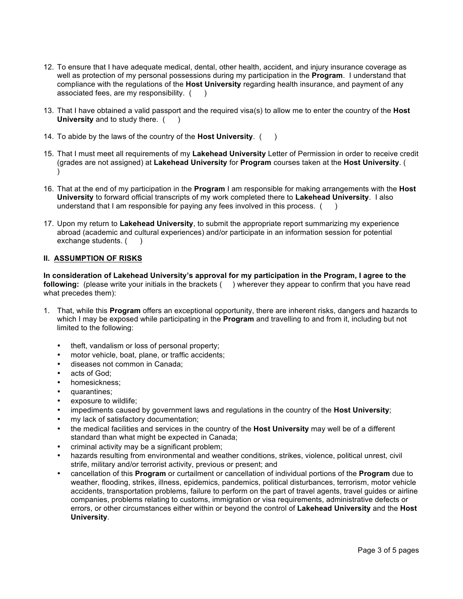- 12. To ensure that I have adequate medical, dental, other health, accident, and injury insurance coverage as well as protection of my personal possessions during my participation in the **Program**. I understand that compliance with the regulations of the **Host University** regarding health insurance, and payment of any associated fees, are my responsibility.  $($ )
- 13. That I have obtained a valid passport and the required visa(s) to allow me to enter the country of the **Host University** and to study there. ()
- 14. To abide by the laws of the country of the **Host University**. ( )
- 15. That I must meet all requirements of my **Lakehead University** Letter of Permission in order to receive credit (grades are not assigned) at **Lakehead University** for **Program** courses taken at the **Host University**. ( )
- 16. That at the end of my participation in the **Program** I am responsible for making arrangements with the **Host University** to forward official transcripts of my work completed there to **Lakehead University**. I also understand that I am responsible for paying any fees involved in this process. ( )
- 17. Upon my return to **Lakehead University**, to submit the appropriate report summarizing my experience abroad (academic and cultural experiences) and/or participate in an information session for potential exchange students. ()

## **II. ASSUMPTION OF RISKS**

**In consideration of Lakehead University's approval for my participation in the Program, I agree to the following:** (please write your initials in the brackets ( ) wherever they appear to confirm that you have read what precedes them):

- 1. That, while this **Program** offers an exceptional opportunity, there are inherent risks, dangers and hazards to which I may be exposed while participating in the **Program** and travelling to and from it, including but not limited to the following:
	- theft, vandalism or loss of personal property;
	- motor vehicle, boat, plane, or traffic accidents;
	- diseases not common in Canada;
	- acts of God:
	- homesickness;
	- quarantines;
	- exposure to wildlife;
	- impediments caused by government laws and regulations in the country of the **Host University**;
	- my lack of satisfactory documentation;
	- the medical facilities and services in the country of the **Host University** may well be of a different standard than what might be expected in Canada;
	- criminal activity may be a significant problem;
	- hazards resulting from environmental and weather conditions, strikes, violence, political unrest, civil strife, military and/or terrorist activity, previous or present; and
	- cancellation of this **Program** or curtailment or cancellation of individual portions of the **Program** due to weather, flooding, strikes, illness, epidemics, pandemics, political disturbances, terrorism, motor vehicle accidents, transportation problems, failure to perform on the part of travel agents, travel guides or airline companies, problems relating to customs, immigration or visa requirements, administrative defects or errors, or other circumstances either within or beyond the control of **Lakehead University** and the **Host University**.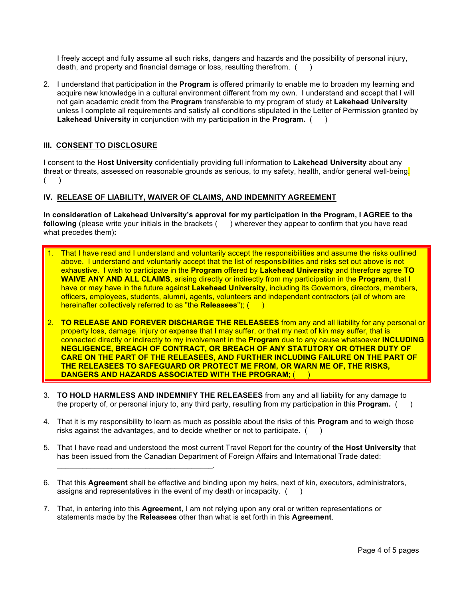I freely accept and fully assume all such risks, dangers and hazards and the possibility of personal injury, death, and property and financial damage or loss, resulting therefrom. ()

2. I understand that participation in the **Program** is offered primarily to enable me to broaden my learning and acquire new knowledge in a cultural environment different from my own. I understand and accept that I will not gain academic credit from the **Program** transferable to my program of study at **Lakehead University** unless I complete all requirements and satisfy all conditions stipulated in the Letter of Permission granted by **Lakehead University** in conjunction with my participation in the **Program.** ( )

## **III. CONSENT TO DISCLOSURE**

I consent to the **Host University** confidentially providing full information to **Lakehead University** about any threat or threats, assessed on reasonable grounds as serious, to my safety, health, and/or general well-being.  $($   $)$ 

## **IV. RELEASE OF LIABILITY, WAIVER OF CLAIMS, AND INDEMNITY AGREEMENT**

**In consideration of Lakehead University's approval for my participation in the Program, I AGREE to the following** (please write your initials in the brackets ( ) wherever they appear to confirm that you have read what precedes them)**:**

- That I have read and I understand and voluntarily accept the responsibilities and assume the risks outlined above. I understand and voluntarily accept that the list of responsibilities and risks set out above is not exhaustive. I wish to participate in the **Program** offered by **Lakehead University** and therefore agree **TO WAIVE ANY AND ALL CLAIMS**, arising directly or indirectly from my participation in the **Program**, that I have or may have in the future against **Lakehead University**, including its Governors, directors, members, officers, employees, students, alumni, agents, volunteers and independent contractors (all of whom are hereinafter collectively referred to as "the **Releasees**"); ( )
- 2. **TO RELEASE AND FOREVER DISCHARGE THE RELEASEES** from any and all liability for any personal or property loss, damage, injury or expense that I may suffer, or that my next of kin may suffer, that is connected directly or indirectly to my involvement in the **Program** due to any cause whatsoever **INCLUDING NEGLIGENCE, BREACH OF CONTRACT, OR BREACH OF ANY STATUTORY OR OTHER DUTY OF CARE ON THE PART OF THE RELEASEES, AND FURTHER INCLUDING FAILURE ON THE PART OF THE RELEASEES TO SAFEGUARD OR PROTECT ME FROM, OR WARN ME OF, THE RISKS, DANGERS AND HAZARDS ASSOCIATED WITH THE PROGRAM**; ( )
- 3. **TO HOLD HARMLESS AND INDEMNIFY THE RELEASEES** from any and all liability for any damage to the property of, or personal injury to, any third party, resulting from my participation in this **Program.** ( )
- 4. That it is my responsibility to learn as much as possible about the risks of this **Program** and to weigh those risks against the advantages, and to decide whether or not to participate. ( )
- 5. That I have read and understood the most current Travel Report for the country of **the Host University** that has been issued from the Canadian Department of Foreign Affairs and International Trade dated:
- 6. That this **Agreement** shall be effective and binding upon my heirs, next of kin, executors, administrators, assigns and representatives in the event of my death or incapacity.  $($
- 7. That, in entering into this **Agreement**, I am not relying upon any oral or written representations or statements made by the **Releasees** other than what is set forth in this **Agreement**.

\_\_\_\_\_\_\_\_\_\_\_\_\_\_\_\_\_\_\_\_\_\_\_\_\_\_\_\_\_\_\_\_\_\_\_\_\_.